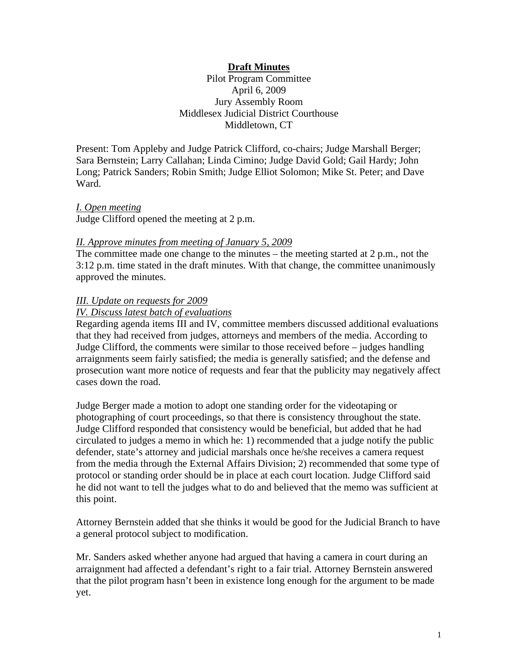# **Draft Minutes**

Pilot Program Committee April 6, 2009 Jury Assembly Room Middlesex Judicial District Courthouse Middletown, CT

Present: Tom Appleby and Judge Patrick Clifford, co-chairs; Judge Marshall Berger; Sara Bernstein; Larry Callahan; Linda Cimino; Judge David Gold; Gail Hardy; John Long; Patrick Sanders; Robin Smith; Judge Elliot Solomon; Mike St. Peter; and Dave Ward.

### *I. Open meeting*

Judge Clifford opened the meeting at 2 p.m.

### *II. Approve minutes from meeting of January 5, 2009*

The committee made one change to the minutes – the meeting started at 2 p.m., not the 3:12 p.m. time stated in the draft minutes. With that change, the committee unanimously approved the minutes.

### *III. Update on requests for 2009*

### *IV. Discuss latest batch of evaluations*

Regarding agenda items III and IV, committee members discussed additional evaluations that they had received from judges, attorneys and members of the media. According to Judge Clifford, the comments were similar to those received before – judges handling arraignments seem fairly satisfied; the media is generally satisfied; and the defense and prosecution want more notice of requests and fear that the publicity may negatively affect cases down the road.

Judge Berger made a motion to adopt one standing order for the videotaping or photographing of court proceedings, so that there is consistency throughout the state. Judge Clifford responded that consistency would be beneficial, but added that he had circulated to judges a memo in which he: 1) recommended that a judge notify the public defender, state's attorney and judicial marshals once he/she receives a camera request from the media through the External Affairs Division; 2) recommended that some type of protocol or standing order should be in place at each court location. Judge Clifford said he did not want to tell the judges what to do and believed that the memo was sufficient at this point.

Attorney Bernstein added that she thinks it would be good for the Judicial Branch to have a general protocol subject to modification.

Mr. Sanders asked whether anyone had argued that having a camera in court during an arraignment had affected a defendant's right to a fair trial. Attorney Bernstein answered that the pilot program hasn't been in existence long enough for the argument to be made yet.